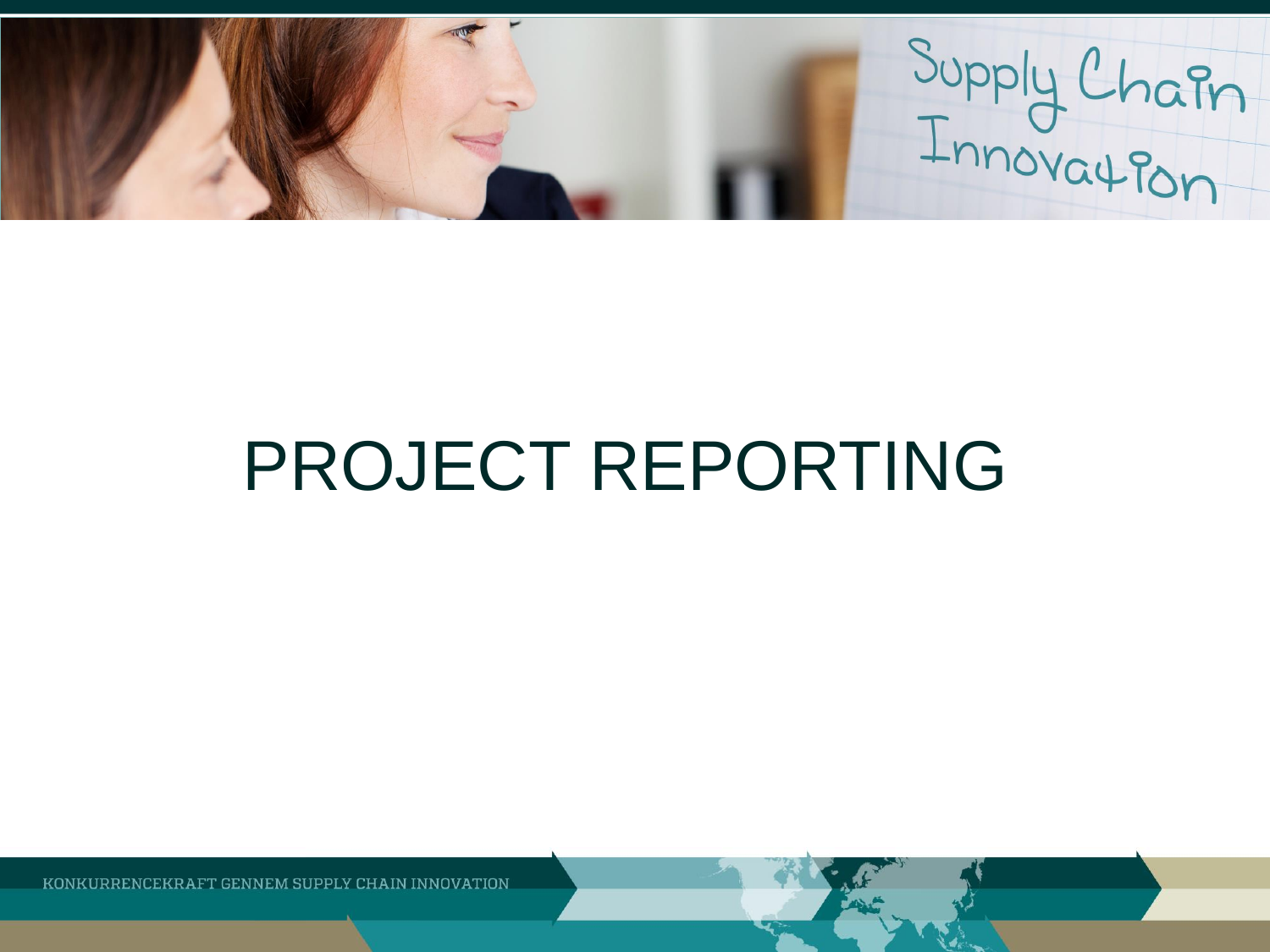Supply Chain

# PROJECT REPORTING

KONKURRENCEKRAFT GENNEM SUPPLY CHAIN INNOVATION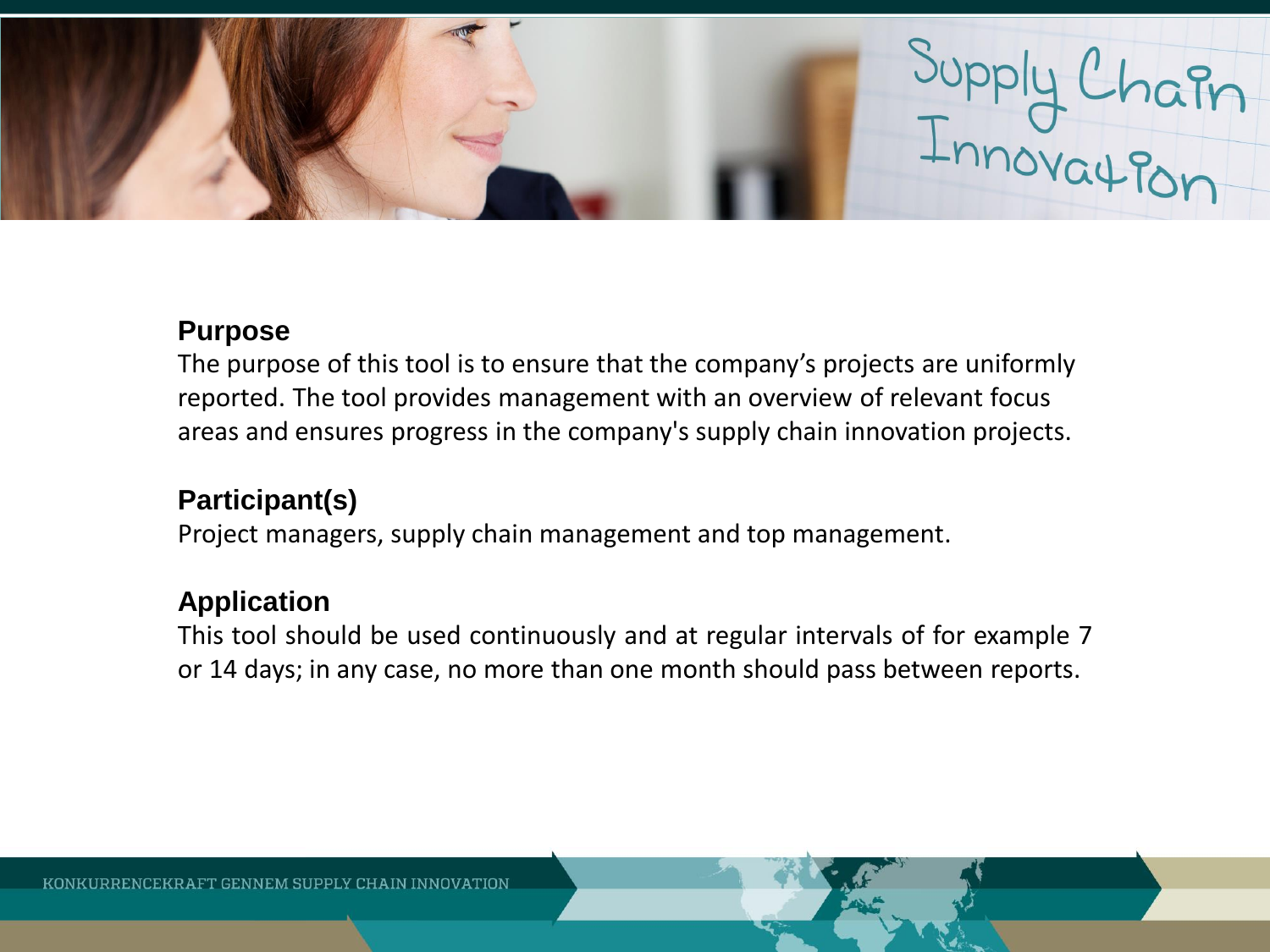

#### **Purpose**

The purpose of this tool is to ensure that the company's projects are uniformly reported. The tool provides management with an overview of relevant focus areas and ensures progress in the company's supply chain innovation projects.

# **Participant(s)**

Project managers, supply chain management and top management.

# **Application**

This tool should be used continuously and at regular intervals of for example 7 or 14 days; in any case, no more than one month should pass between reports.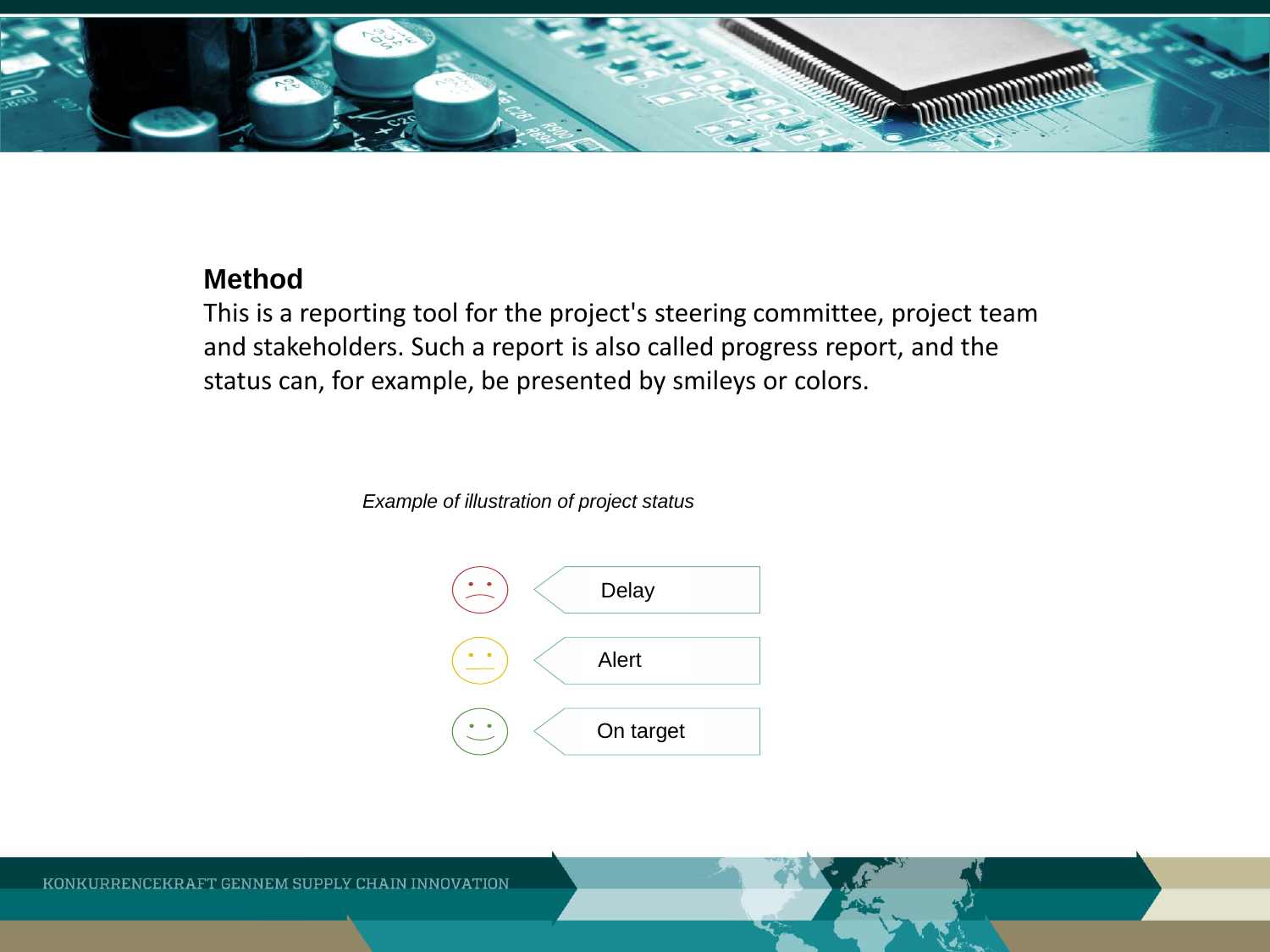

#### **Method**

This is a reporting tool for the project's steering committee, project team and stakeholders. Such a report is also called progress report, and the status can, for example, be presented by smileys or colors.

*Example of illustration of project status* 

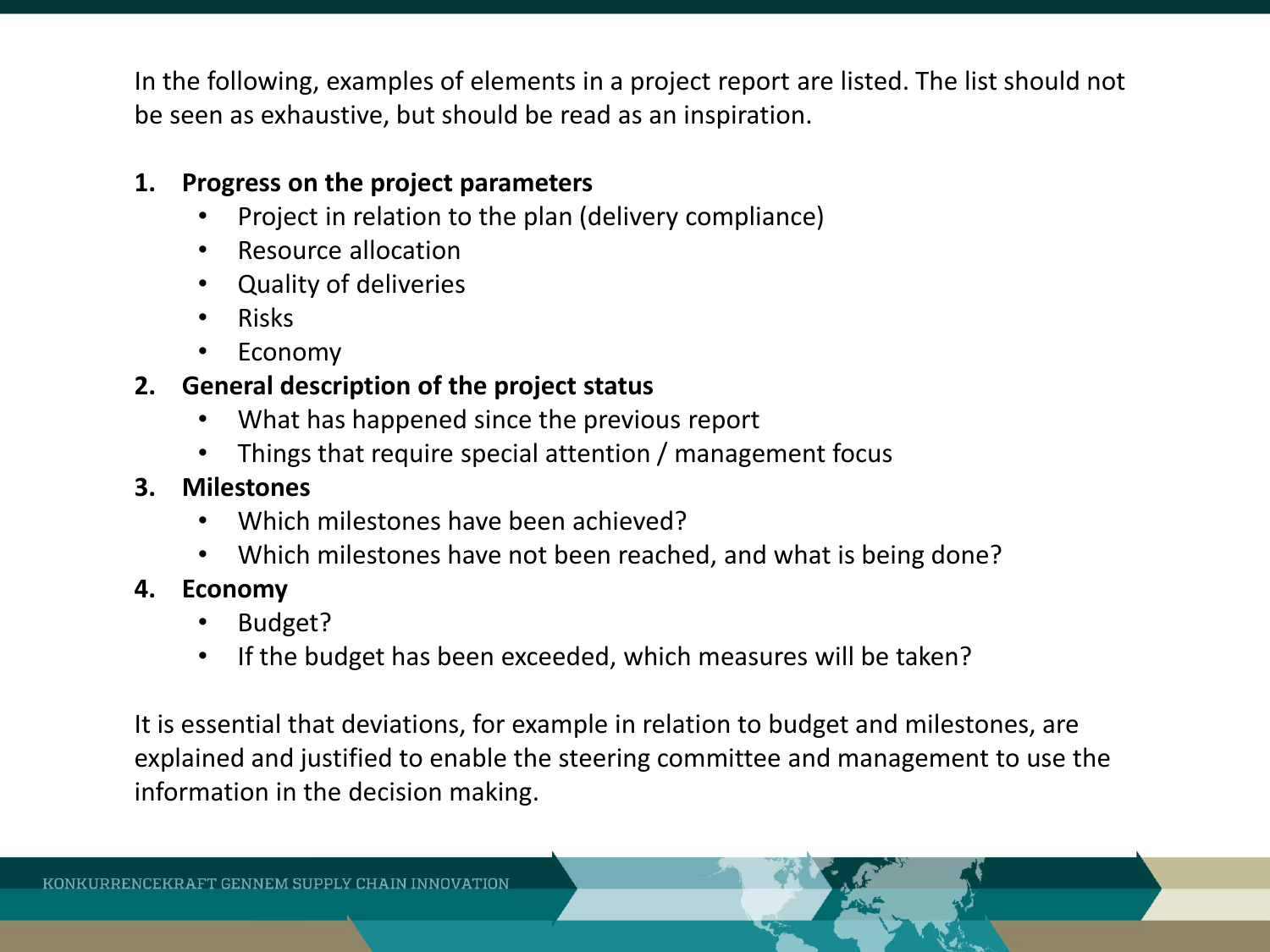In the following, examples of elements in a project report are listed. The list should not be seen as exhaustive, but should be read as an inspiration.

## **1. Progress on the project parameters**

- Project in relation to the plan (delivery compliance)
- Resource allocation
- Quality of deliveries
- Risks
- **Economy**

# **2. General description of the project status**

- What has happened since the previous report
- Things that require special attention / management focus

## **3. Milestones**

- Which milestones have been achieved?
- Which milestones have not been reached, and what is being done?
- **4. Economy** 
	- Budget?
	- If the budget has been exceeded, which measures will be taken?

It is essential that deviations, for example in relation to budget and milestones, are explained and justified to enable the steering committee and management to use the information in the decision making.